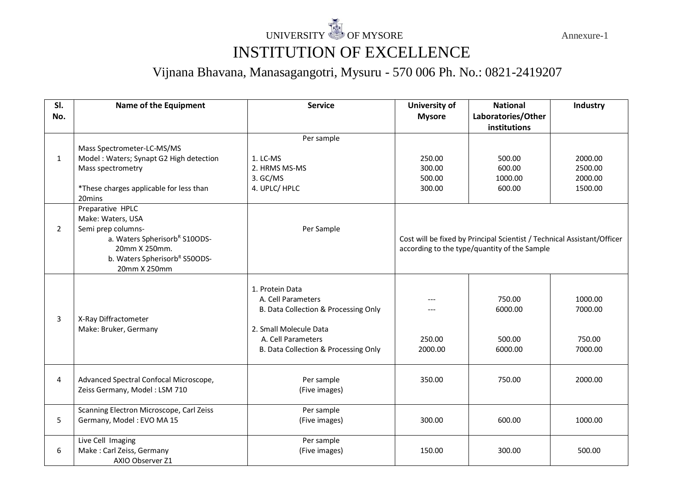## UNIVERSITY OF MYSORE Annexure-1 INSTITUTION OF EXCELLENCE

## Vijnana Bhavana, Manasagangotri, Mysuru - 570 006 Ph. No.: 0821-2419207

| SI.            | Name of the Equipment                                                   | <b>Service</b>                                                                                          | University of | <b>National</b>                                                         | Industry           |
|----------------|-------------------------------------------------------------------------|---------------------------------------------------------------------------------------------------------|---------------|-------------------------------------------------------------------------|--------------------|
| No.            |                                                                         |                                                                                                         | <b>Mysore</b> | Laboratories/Other                                                      |                    |
|                |                                                                         |                                                                                                         |               | institutions                                                            |                    |
|                |                                                                         | Per sample                                                                                              |               |                                                                         |                    |
|                | Mass Spectrometer-LC-MS/MS                                              |                                                                                                         |               |                                                                         |                    |
| 1              | Model: Waters; Synapt G2 High detection                                 | 1. LC-MS                                                                                                | 250.00        | 500.00                                                                  | 2000.00            |
|                | Mass spectrometry                                                       | 2. HRMS MS-MS                                                                                           | 300.00        | 600.00                                                                  | 2500.00            |
|                |                                                                         | 3. GC/MS                                                                                                | 500.00        | 1000.00                                                                 | 2000.00            |
|                | *These charges applicable for less than                                 | 4. UPLC/ HPLC                                                                                           | 300.00        | 600.00                                                                  | 1500.00            |
|                | 20 <sub>mins</sub>                                                      |                                                                                                         |               |                                                                         |                    |
|                | Preparative HPLC                                                        |                                                                                                         |               |                                                                         |                    |
|                | Make: Waters, USA                                                       |                                                                                                         |               |                                                                         |                    |
| $\overline{2}$ | Semi prep columns-                                                      | Per Sample                                                                                              |               |                                                                         |                    |
|                | a. Waters Spherisorb <sup>R</sup> S10ODS-                               |                                                                                                         |               | Cost will be fixed by Principal Scientist / Technical Assistant/Officer |                    |
|                | 20mm X 250mm.                                                           |                                                                                                         |               | according to the type/quantity of the Sample                            |                    |
|                | b. Waters Spherisorb <sup>R</sup> S50ODS-                               |                                                                                                         |               |                                                                         |                    |
|                | 20mm X 250mm                                                            |                                                                                                         |               |                                                                         |                    |
| 3              | X-Ray Diffractometer<br>Make: Bruker, Germany                           | 1. Protein Data<br>A. Cell Parameters<br>B. Data Collection & Processing Only<br>2. Small Molecule Data |               | 750.00<br>6000.00                                                       | 1000.00<br>7000.00 |
|                |                                                                         | A. Cell Parameters                                                                                      | 250.00        | 500.00                                                                  | 750.00             |
|                |                                                                         | B. Data Collection & Processing Only                                                                    | 2000.00       | 6000.00                                                                 | 7000.00            |
|                |                                                                         |                                                                                                         |               |                                                                         |                    |
| 4              | Advanced Spectral Confocal Microscope,<br>Zeiss Germany, Model: LSM 710 | Per sample<br>(Five images)                                                                             | 350.00        | 750.00                                                                  | 2000.00            |
|                | Scanning Electron Microscope, Carl Zeiss                                | Per sample                                                                                              |               |                                                                         |                    |
| 5              | Germany, Model: EVO MA 15                                               | (Five images)                                                                                           | 300.00        | 600.00                                                                  | 1000.00            |
|                | Live Cell Imaging                                                       | Per sample                                                                                              |               |                                                                         |                    |
| 6              | Make: Carl Zeiss, Germany                                               | (Five images)                                                                                           | 150.00        | 300.00                                                                  | 500.00             |
|                | AXIO Observer Z1                                                        |                                                                                                         |               |                                                                         |                    |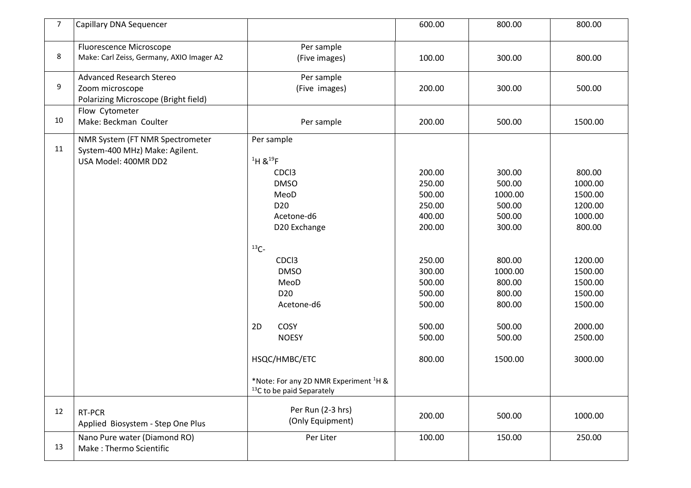| 7 <sup>7</sup> | Capillary DNA Sequencer                                                                    |                                                                                                                                                                                                                                                                                                                                                       | 600.00                                                                                                                                   | 800.00                                                                                                                                      | 800.00                                                                                                                                               |
|----------------|--------------------------------------------------------------------------------------------|-------------------------------------------------------------------------------------------------------------------------------------------------------------------------------------------------------------------------------------------------------------------------------------------------------------------------------------------------------|------------------------------------------------------------------------------------------------------------------------------------------|---------------------------------------------------------------------------------------------------------------------------------------------|------------------------------------------------------------------------------------------------------------------------------------------------------|
| 8              | Fluorescence Microscope<br>Make: Carl Zeiss, Germany, AXIO Imager A2                       | Per sample<br>(Five images)                                                                                                                                                                                                                                                                                                                           | 100.00                                                                                                                                   | 300.00                                                                                                                                      | 800.00                                                                                                                                               |
| 9              | <b>Advanced Research Stereo</b><br>Zoom microscope<br>Polarizing Microscope (Bright field) | Per sample<br>(Five images)                                                                                                                                                                                                                                                                                                                           | 200.00                                                                                                                                   | 300.00                                                                                                                                      | 500.00                                                                                                                                               |
| 10             | Flow Cytometer<br>Make: Beckman Coulter                                                    | Per sample                                                                                                                                                                                                                                                                                                                                            | 200.00                                                                                                                                   | 500.00                                                                                                                                      | 1500.00                                                                                                                                              |
| 11             | NMR System (FT NMR Spectrometer<br>System-400 MHz) Make: Agilent.<br>USA Model: 400MR DD2  | Per sample<br>1H 819F<br>CDC <sub>3</sub><br><b>DMSO</b><br>MeoD<br>D <sub>20</sub><br>Acetone-d6<br>D20 Exchange<br>$13C -$<br>CDC <sub>3</sub><br><b>DMSO</b><br>MeoD<br>D <sub>20</sub><br>Acetone-d6<br>COSY<br>2D<br><b>NOESY</b><br>HSQC/HMBC/ETC<br>*Note: For any 2D NMR Experiment <sup>1</sup> H &<br><sup>13</sup> C to be paid Separately | 200.00<br>250.00<br>500.00<br>250.00<br>400.00<br>200.00<br>250.00<br>300.00<br>500.00<br>500.00<br>500.00<br>500.00<br>500.00<br>800.00 | 300.00<br>500.00<br>1000.00<br>500.00<br>500.00<br>300.00<br>800.00<br>1000.00<br>800.00<br>800.00<br>800.00<br>500.00<br>500.00<br>1500.00 | 800.00<br>1000.00<br>1500.00<br>1200.00<br>1000.00<br>800.00<br>1200.00<br>1500.00<br>1500.00<br>1500.00<br>1500.00<br>2000.00<br>2500.00<br>3000.00 |
| 12             | RT-PCR<br>Applied Biosystem - Step One Plus                                                | Per Run (2-3 hrs)<br>(Only Equipment)                                                                                                                                                                                                                                                                                                                 | 200.00                                                                                                                                   | 500.00                                                                                                                                      | 1000.00                                                                                                                                              |
| 13             | Nano Pure water (Diamond RO)<br>Make: Thermo Scientific                                    | Per Liter                                                                                                                                                                                                                                                                                                                                             | 100.00                                                                                                                                   | 150.00                                                                                                                                      | 250.00                                                                                                                                               |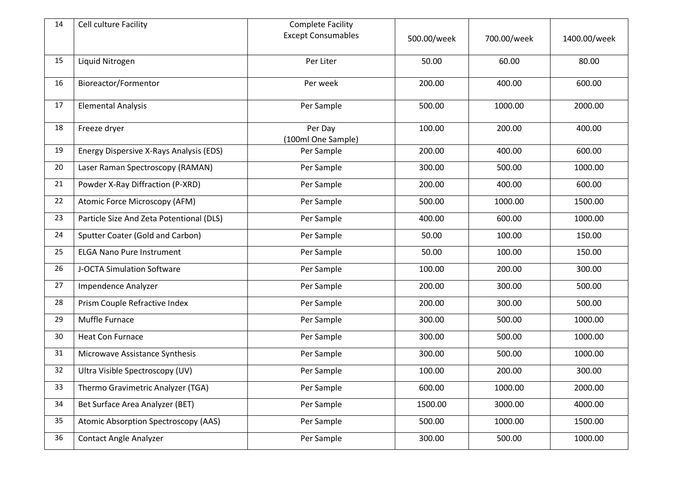| 14 | Cell culture Facility                    | <b>Complete Facility</b>      |             |             |              |
|----|------------------------------------------|-------------------------------|-------------|-------------|--------------|
|    |                                          | <b>Except Consumables</b>     | 500.00/week | 700.00/week | 1400.00/week |
| 15 | Liquid Nitrogen                          | Per Liter                     | 50.00       | 60.00       | 80.00        |
| 16 | Bioreactor/Formentor                     | Per week                      | 200.00      | 400.00      | 600.00       |
| 17 | <b>Elemental Analysis</b>                | Per Sample                    | 500.00      | 1000.00     | 2000.00      |
| 18 | Freeze dryer                             | Per Day<br>(100ml One Sample) | 100.00      | 200.00      | 400.00       |
| 19 | Energy Dispersive X-Rays Analysis (EDS)  | Per Sample                    | 200.00      | 400.00      | 600.00       |
| 20 | Laser Raman Spectroscopy (RAMAN)         | Per Sample                    | 300.00      | 500.00      | 1000.00      |
| 21 | Powder X-Ray Diffraction (P-XRD)         | Per Sample                    | 200.00      | 400.00      | 600.00       |
| 22 | Atomic Force Microscopy (AFM)            | Per Sample                    | 500.00      | 1000.00     | 1500.00      |
| 23 | Particle Size And Zeta Potentional (DLS) | Per Sample                    | 400.00      | 600.00      | 1000.00      |
| 24 | Sputter Coater (Gold and Carbon)         | Per Sample                    | 50.00       | 100.00      | 150.00       |
| 25 | <b>ELGA Nano Pure Instrument</b>         | Per Sample                    | 50.00       | 100.00      | 150.00       |
| 26 | J-OCTA Simulation Software               | Per Sample                    | 100.00      | 200.00      | 300.00       |
| 27 | Impendence Analyzer                      | Per Sample                    | 200.00      | 300.00      | 500.00       |
| 28 | Prism Couple Refractive Index            | Per Sample                    | 200.00      | 300.00      | 500.00       |
| 29 | Muffle Furnace                           | Per Sample                    | 300.00      | 500.00      | 1000.00      |
| 30 | <b>Heat Con Furnace</b>                  | Per Sample                    | 300.00      | 500.00      | 1000.00      |
| 31 | Microwave Assistance Synthesis           | Per Sample                    | 300.00      | 500.00      | 1000.00      |
| 32 | Ultra Visible Spectroscopy (UV)          | Per Sample                    | 100.00      | 200.00      | 300.00       |
| 33 | Thermo Gravimetric Analyzer (TGA)        | Per Sample                    | 600.00      | 1000.00     | 2000.00      |
| 34 | Bet Surface Area Analyzer (BET)          | Per Sample                    | 1500.00     | 3000.00     | 4000.00      |
| 35 | Atomic Absorption Spectroscopy (AAS)     | Per Sample                    | 500.00      | 1000.00     | 1500.00      |
| 36 | <b>Contact Angle Analyzer</b>            | Per Sample                    | 300.00      | 500.00      | 1000.00      |